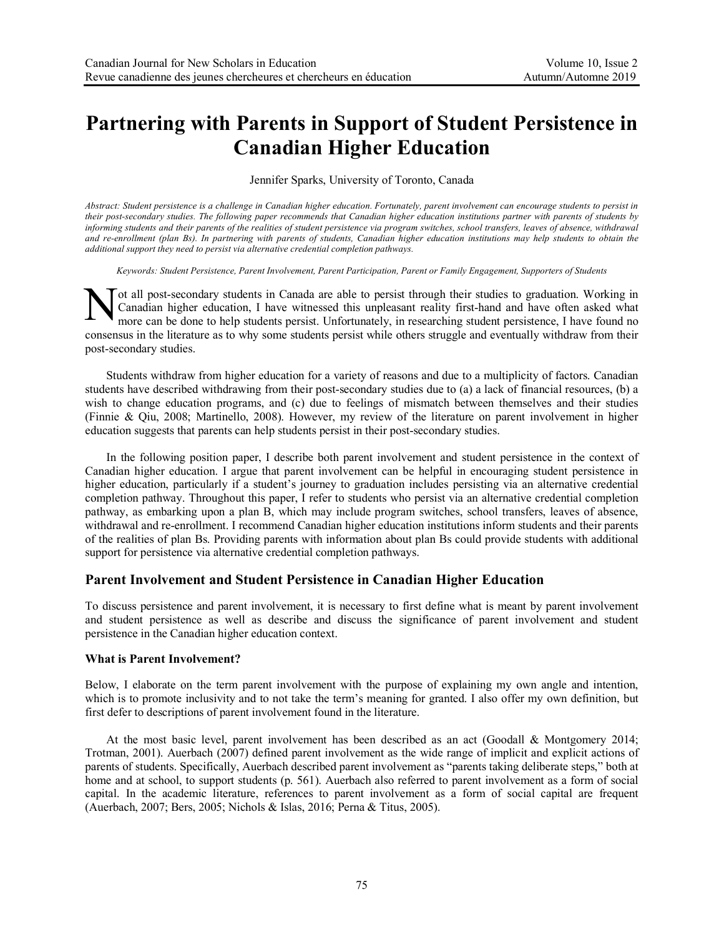# **Partnering with Parents in Support of Student Persistence in Canadian Higher Education**

Jennifer Sparks, University of Toronto, Canada

*Abstract: Student persistence is a challenge in Canadian higher education. Fortunately, parent involvement can encourage students to persist in their post-secondary studies. The following paper recommends that Canadian higher education institutions partner with parents of students by informing students and their parents of the realities of student persistence via program switches, school transfers, leaves of absence, withdrawal and re-enrollment (plan Bs). In partnering with parents of students, Canadian higher education institutions may help students to obtain the additional support they need to persist via alternative credential completion pathways.*

*Keywords: Student Persistence, Parent Involvement, Parent Participation, Parent or Family Engagement, Supporters of Students*

ot all post-secondary students in Canada are able to persist through their studies to graduation. Working in Canadian higher education, I have witnessed this unpleasant reality first-hand and have often asked what more can be done to help students persist. Unfortunately, in researching student persistence, I have found no consensus in the literature as to why some students persist while others struggle and eventually withdraw from their post-secondary studies. N

Students withdraw from higher education for a variety of reasons and due to a multiplicity of factors. Canadian students have described withdrawing from their post-secondary studies due to (a) a lack of financial resources, (b) a wish to change education programs, and (c) due to feelings of mismatch between themselves and their studies (Finnie & Qiu, 2008; Martinello, 2008). However, my review of the literature on parent involvement in higher education suggests that parents can help students persist in their post-secondary studies.

In the following position paper, I describe both parent involvement and student persistence in the context of Canadian higher education. I argue that parent involvement can be helpful in encouraging student persistence in higher education, particularly if a student's journey to graduation includes persisting via an alternative credential completion pathway. Throughout this paper, I refer to students who persist via an alternative credential completion pathway, as embarking upon a plan B, which may include program switches, school transfers, leaves of absence, withdrawal and re-enrollment. I recommend Canadian higher education institutions inform students and their parents of the realities of plan Bs. Providing parents with information about plan Bs could provide students with additional support for persistence via alternative credential completion pathways.

# **Parent Involvement and Student Persistence in Canadian Higher Education**

To discuss persistence and parent involvement, it is necessary to first define what is meant by parent involvement and student persistence as well as describe and discuss the significance of parent involvement and student persistence in the Canadian higher education context.

## **What is Parent Involvement?**

Below, I elaborate on the term parent involvement with the purpose of explaining my own angle and intention, which is to promote inclusivity and to not take the term's meaning for granted. I also offer my own definition, but first defer to descriptions of parent involvement found in the literature.

At the most basic level, parent involvement has been described as an act (Goodall & Montgomery 2014; Trotman, 2001). Auerbach (2007) defined parent involvement as the wide range of implicit and explicit actions of parents of students. Specifically, Auerbach described parent involvement as "parents taking deliberate steps," both at home and at school, to support students (p. 561). Auerbach also referred to parent involvement as a form of social capital. In the academic literature, references to parent involvement as a form of social capital are frequent (Auerbach, 2007; Bers, 2005; Nichols & Islas, 2016; Perna & Titus, 2005).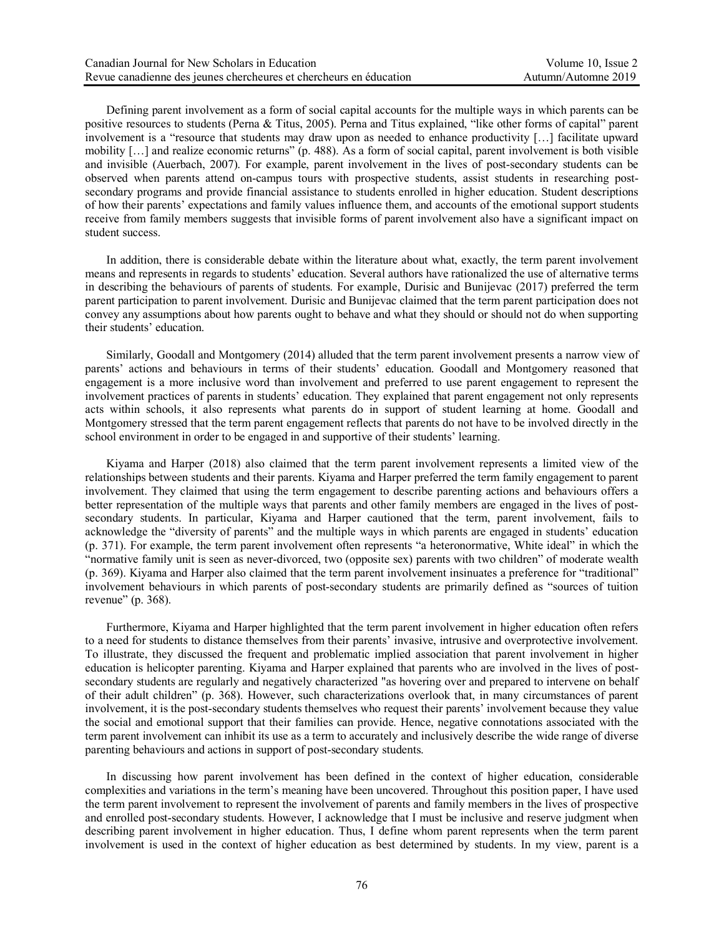Defining parent involvement as a form of social capital accounts for the multiple ways in which parents can be positive resources to students (Perna & Titus, 2005). Perna and Titus explained, "like other forms of capital" parent involvement is a "resource that students may draw upon as needed to enhance productivity […] facilitate upward mobility […] and realize economic returns" (p. 488). As a form of social capital, parent involvement is both visible and invisible (Auerbach, 2007). For example, parent involvement in the lives of post-secondary students can be observed when parents attend on-campus tours with prospective students, assist students in researching postsecondary programs and provide financial assistance to students enrolled in higher education. Student descriptions of how their parents' expectations and family values influence them, and accounts of the emotional support students receive from family members suggests that invisible forms of parent involvement also have a significant impact on student success.

In addition, there is considerable debate within the literature about what, exactly, the term parent involvement means and represents in regards to students' education. Several authors have rationalized the use of alternative terms in describing the behaviours of parents of students. For example, Durisic and Bunijevac (2017) preferred the term parent participation to parent involvement. Durisic and Bunijevac claimed that the term parent participation does not convey any assumptions about how parents ought to behave and what they should or should not do when supporting their students' education.

Similarly, Goodall and Montgomery (2014) alluded that the term parent involvement presents a narrow view of parents' actions and behaviours in terms of their students' education. Goodall and Montgomery reasoned that engagement is a more inclusive word than involvement and preferred to use parent engagement to represent the involvement practices of parents in students' education. They explained that parent engagement not only represents acts within schools, it also represents what parents do in support of student learning at home. Goodall and Montgomery stressed that the term parent engagement reflects that parents do not have to be involved directly in the school environment in order to be engaged in and supportive of their students' learning.

Kiyama and Harper (2018) also claimed that the term parent involvement represents a limited view of the relationships between students and their parents. Kiyama and Harper preferred the term family engagement to parent involvement. They claimed that using the term engagement to describe parenting actions and behaviours offers a better representation of the multiple ways that parents and other family members are engaged in the lives of postsecondary students. In particular, Kiyama and Harper cautioned that the term, parent involvement, fails to acknowledge the "diversity of parents" and the multiple ways in which parents are engaged in students' education (p. 371). For example, the term parent involvement often represents "a heteronormative, White ideal" in which the "normative family unit is seen as never-divorced, two (opposite sex) parents with two children" of moderate wealth (p. 369). Kiyama and Harper also claimed that the term parent involvement insinuates a preference for "traditional" involvement behaviours in which parents of post-secondary students are primarily defined as "sources of tuition revenue" (p. 368).

Furthermore, Kiyama and Harper highlighted that the term parent involvement in higher education often refers to a need for students to distance themselves from their parents' invasive, intrusive and overprotective involvement. To illustrate, they discussed the frequent and problematic implied association that parent involvement in higher education is helicopter parenting. Kiyama and Harper explained that parents who are involved in the lives of postsecondary students are regularly and negatively characterized "as hovering over and prepared to intervene on behalf of their adult children" (p. 368). However, such characterizations overlook that, in many circumstances of parent involvement, it is the post-secondary students themselves who request their parents' involvement because they value the social and emotional support that their families can provide. Hence, negative connotations associated with the term parent involvement can inhibit its use as a term to accurately and inclusively describe the wide range of diverse parenting behaviours and actions in support of post-secondary students.

In discussing how parent involvement has been defined in the context of higher education, considerable complexities and variations in the term's meaning have been uncovered. Throughout this position paper, I have used the term parent involvement to represent the involvement of parents and family members in the lives of prospective and enrolled post-secondary students. However, I acknowledge that I must be inclusive and reserve judgment when describing parent involvement in higher education. Thus, I define whom parent represents when the term parent involvement is used in the context of higher education as best determined by students. In my view, parent is a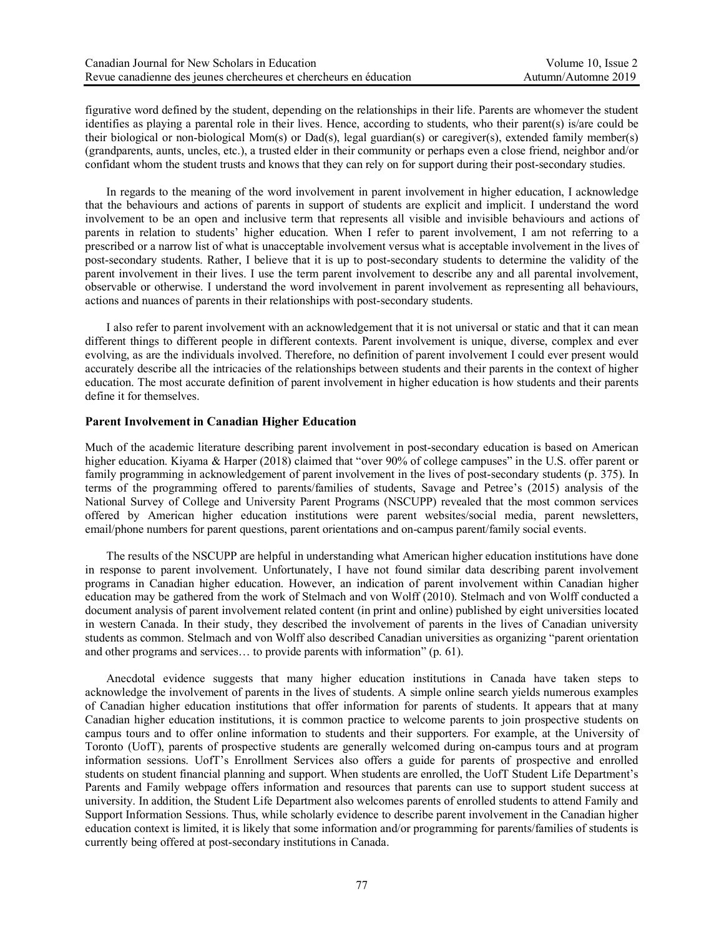figurative word defined by the student, depending on the relationships in their life. Parents are whomever the student identifies as playing a parental role in their lives. Hence, according to students, who their parent(s) is/are could be their biological or non-biological Mom(s) or Dad(s), legal guardian(s) or caregiver(s), extended family member(s) (grandparents, aunts, uncles, etc.), a trusted elder in their community or perhaps even a close friend, neighbor and/or confidant whom the student trusts and knows that they can rely on for support during their post-secondary studies.

In regards to the meaning of the word involvement in parent involvement in higher education, I acknowledge that the behaviours and actions of parents in support of students are explicit and implicit. I understand the word involvement to be an open and inclusive term that represents all visible and invisible behaviours and actions of parents in relation to students' higher education. When I refer to parent involvement, I am not referring to a prescribed or a narrow list of what is unacceptable involvement versus what is acceptable involvement in the lives of post-secondary students. Rather, I believe that it is up to post-secondary students to determine the validity of the parent involvement in their lives. I use the term parent involvement to describe any and all parental involvement, observable or otherwise. I understand the word involvement in parent involvement as representing all behaviours, actions and nuances of parents in their relationships with post-secondary students.

I also refer to parent involvement with an acknowledgement that it is not universal or static and that it can mean different things to different people in different contexts. Parent involvement is unique, diverse, complex and ever evolving, as are the individuals involved. Therefore, no definition of parent involvement I could ever present would accurately describe all the intricacies of the relationships between students and their parents in the context of higher education. The most accurate definition of parent involvement in higher education is how students and their parents define it for themselves.

#### **Parent Involvement in Canadian Higher Education**

Much of the academic literature describing parent involvement in post-secondary education is based on American higher education. Kiyama & Harper (2018) claimed that "over 90% of college campuses" in the U.S. offer parent or family programming in acknowledgement of parent involvement in the lives of post-secondary students (p. 375). In terms of the programming offered to parents/families of students, Savage and Petree's (2015) analysis of the National Survey of College and University Parent Programs (NSCUPP) revealed that the most common services offered by American higher education institutions were parent websites/social media, parent newsletters, email/phone numbers for parent questions, parent orientations and on-campus parent/family social events.

The results of the NSCUPP are helpful in understanding what American higher education institutions have done in response to parent involvement. Unfortunately, I have not found similar data describing parent involvement programs in Canadian higher education. However, an indication of parent involvement within Canadian higher education may be gathered from the work of Stelmach and von Wolff (2010). Stelmach and von Wolff conducted a document analysis of parent involvement related content (in print and online) published by eight universities located in western Canada. In their study, they described the involvement of parents in the lives of Canadian university students as common. Stelmach and von Wolff also described Canadian universities as organizing "parent orientation and other programs and services… to provide parents with information" (p. 61).

Anecdotal evidence suggests that many higher education institutions in Canada have taken steps to acknowledge the involvement of parents in the lives of students. A simple online search yields numerous examples of Canadian higher education institutions that offer information for parents of students. It appears that at many Canadian higher education institutions, it is common practice to welcome parents to join prospective students on campus tours and to offer online information to students and their supporters. For example, at the University of Toronto (UofT), parents of prospective students are generally welcomed during on-campus tours and at program information sessions. UofT's Enrollment Services also offers a guide for parents of prospective and enrolled students on student financial planning and support. When students are enrolled, the UofT Student Life Department's Parents and Family webpage offers information and resources that parents can use to support student success at university. In addition, the Student Life Department also welcomes parents of enrolled students to attend Family and Support Information Sessions. Thus, while scholarly evidence to describe parent involvement in the Canadian higher education context is limited, it is likely that some information and/or programming for parents/families of students is currently being offered at post-secondary institutions in Canada.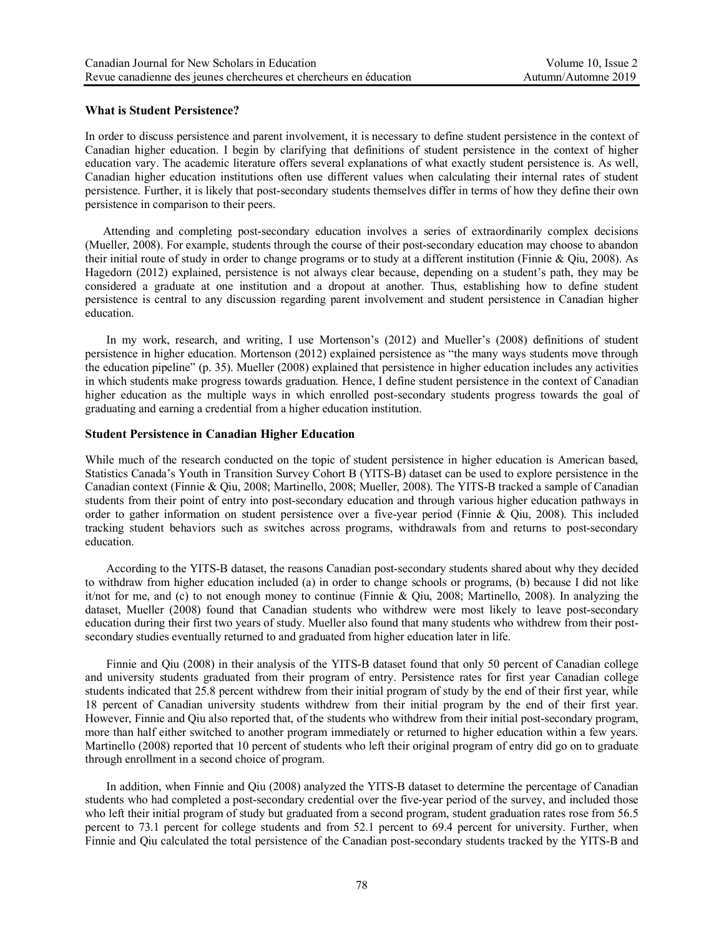### **What is Student Persistence?**

In order to discuss persistence and parent involvement, it is necessary to define student persistence in the context of Canadian higher education. I begin by clarifying that definitions of student persistence in the context of higher education vary. The academic literature offers several explanations of what exactly student persistence is. As well, Canadian higher education institutions often use different values when calculating their internal rates of student persistence. Further, it is likely that post-secondary students themselves differ in terms of how they define their own persistence in comparison to their peers.

 Attending and completing post-secondary education involves a series of extraordinarily complex decisions (Mueller, 2008). For example, students through the course of their post-secondary education may choose to abandon their initial route of study in order to change programs or to study at a different institution (Finnie & Qiu, 2008). As Hagedorn (2012) explained, persistence is not always clear because, depending on a student's path, they may be considered a graduate at one institution and a dropout at another. Thus, establishing how to define student persistence is central to any discussion regarding parent involvement and student persistence in Canadian higher education.

In my work, research, and writing, I use Mortenson's (2012) and Mueller's (2008) definitions of student persistence in higher education. Mortenson (2012) explained persistence as "the many ways students move through the education pipeline" (p. 35). Mueller (2008) explained that persistence in higher education includes any activities in which students make progress towards graduation. Hence, I define student persistence in the context of Canadian higher education as the multiple ways in which enrolled post-secondary students progress towards the goal of graduating and earning a credential from a higher education institution.

#### **Student Persistence in Canadian Higher Education**

While much of the research conducted on the topic of student persistence in higher education is American based, Statistics Canada's Youth in Transition Survey Cohort B (YITS-B) dataset can be used to explore persistence in the Canadian context (Finnie & Qiu, 2008; Martinello, 2008; Mueller, 2008). The YITS-B tracked a sample of Canadian students from their point of entry into post-secondary education and through various higher education pathways in order to gather information on student persistence over a five-year period (Finnie & Qiu, 2008). This included tracking student behaviors such as switches across programs, withdrawals from and returns to post-secondary education.

According to the YITS-B dataset, the reasons Canadian post-secondary students shared about why they decided to withdraw from higher education included (a) in order to change schools or programs, (b) because I did not like it/not for me, and (c) to not enough money to continue (Finnie & Qiu, 2008; Martinello, 2008). In analyzing the dataset, Mueller (2008) found that Canadian students who withdrew were most likely to leave post-secondary education during their first two years of study. Mueller also found that many students who withdrew from their postsecondary studies eventually returned to and graduated from higher education later in life.

Finnie and Qiu (2008) in their analysis of the YITS-B dataset found that only 50 percent of Canadian college and university students graduated from their program of entry. Persistence rates for first year Canadian college students indicated that 25.8 percent withdrew from their initial program of study by the end of their first year, while 18 percent of Canadian university students withdrew from their initial program by the end of their first year. However, Finnie and Qiu also reported that, of the students who withdrew from their initial post-secondary program, more than half either switched to another program immediately or returned to higher education within a few years. Martinello (2008) reported that 10 percent of students who left their original program of entry did go on to graduate through enrollment in a second choice of program.

In addition, when Finnie and Qiu (2008) analyzed the YITS-B dataset to determine the percentage of Canadian students who had completed a post-secondary credential over the five-year period of the survey, and included those who left their initial program of study but graduated from a second program, student graduation rates rose from 56.5 percent to 73.1 percent for college students and from 52.1 percent to 69.4 percent for university. Further, when Finnie and Qiu calculated the total persistence of the Canadian post-secondary students tracked by the YITS-B and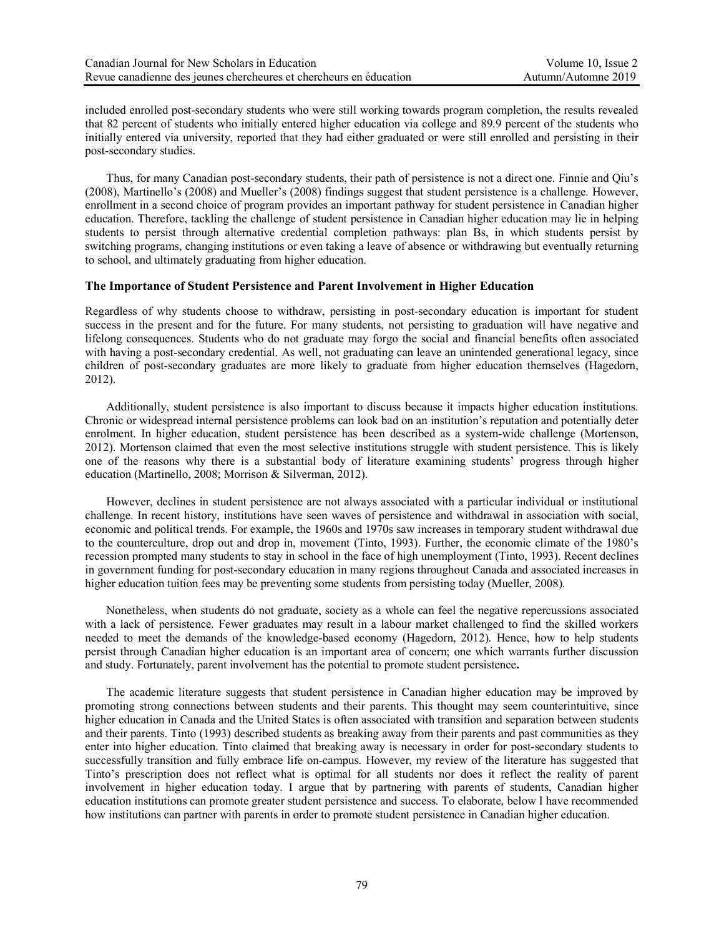included enrolled post-secondary students who were still working towards program completion, the results revealed that 82 percent of students who initially entered higher education via college and 89.9 percent of the students who initially entered via university, reported that they had either graduated or were still enrolled and persisting in their post-secondary studies.

Thus, for many Canadian post-secondary students, their path of persistence is not a direct one. Finnie and Qiu's (2008), Martinello's (2008) and Mueller's (2008) findings suggest that student persistence is a challenge. However, enrollment in a second choice of program provides an important pathway for student persistence in Canadian higher education. Therefore, tackling the challenge of student persistence in Canadian higher education may lie in helping students to persist through alternative credential completion pathways: plan Bs, in which students persist by switching programs, changing institutions or even taking a leave of absence or withdrawing but eventually returning to school, and ultimately graduating from higher education.

#### **The Importance of Student Persistence and Parent Involvement in Higher Education**

Regardless of why students choose to withdraw, persisting in post-secondary education is important for student success in the present and for the future. For many students, not persisting to graduation will have negative and lifelong consequences. Students who do not graduate may forgo the social and financial benefits often associated with having a post-secondary credential. As well, not graduating can leave an unintended generational legacy, since children of post-secondary graduates are more likely to graduate from higher education themselves (Hagedorn, 2012).

Additionally, student persistence is also important to discuss because it impacts higher education institutions. Chronic or widespread internal persistence problems can look bad on an institution's reputation and potentially deter enrolment. In higher education, student persistence has been described as a system-wide challenge (Mortenson, 2012). Mortenson claimed that even the most selective institutions struggle with student persistence. This is likely one of the reasons why there is a substantial body of literature examining students' progress through higher education (Martinello, 2008; Morrison & Silverman, 2012).

However, declines in student persistence are not always associated with a particular individual or institutional challenge. In recent history, institutions have seen waves of persistence and withdrawal in association with social, economic and political trends. For example, the 1960s and 1970s saw increases in temporary student withdrawal due to the counterculture, drop out and drop in, movement (Tinto, 1993). Further, the economic climate of the 1980's recession prompted many students to stay in school in the face of high unemployment (Tinto, 1993). Recent declines in government funding for post-secondary education in many regions throughout Canada and associated increases in higher education tuition fees may be preventing some students from persisting today (Mueller, 2008).

Nonetheless, when students do not graduate, society as a whole can feel the negative repercussions associated with a lack of persistence. Fewer graduates may result in a labour market challenged to find the skilled workers needed to meet the demands of the knowledge-based economy (Hagedorn, 2012). Hence, how to help students persist through Canadian higher education is an important area of concern; one which warrants further discussion and study. Fortunately, parent involvement has the potential to promote student persistence**.**

The academic literature suggests that student persistence in Canadian higher education may be improved by promoting strong connections between students and their parents. This thought may seem counterintuitive, since higher education in Canada and the United States is often associated with transition and separation between students and their parents. Tinto (1993) described students as breaking away from their parents and past communities as they enter into higher education. Tinto claimed that breaking away is necessary in order for post-secondary students to successfully transition and fully embrace life on-campus. However, my review of the literature has suggested that Tinto's prescription does not reflect what is optimal for all students nor does it reflect the reality of parent involvement in higher education today. I argue that by partnering with parents of students, Canadian higher education institutions can promote greater student persistence and success. To elaborate, below I have recommended how institutions can partner with parents in order to promote student persistence in Canadian higher education.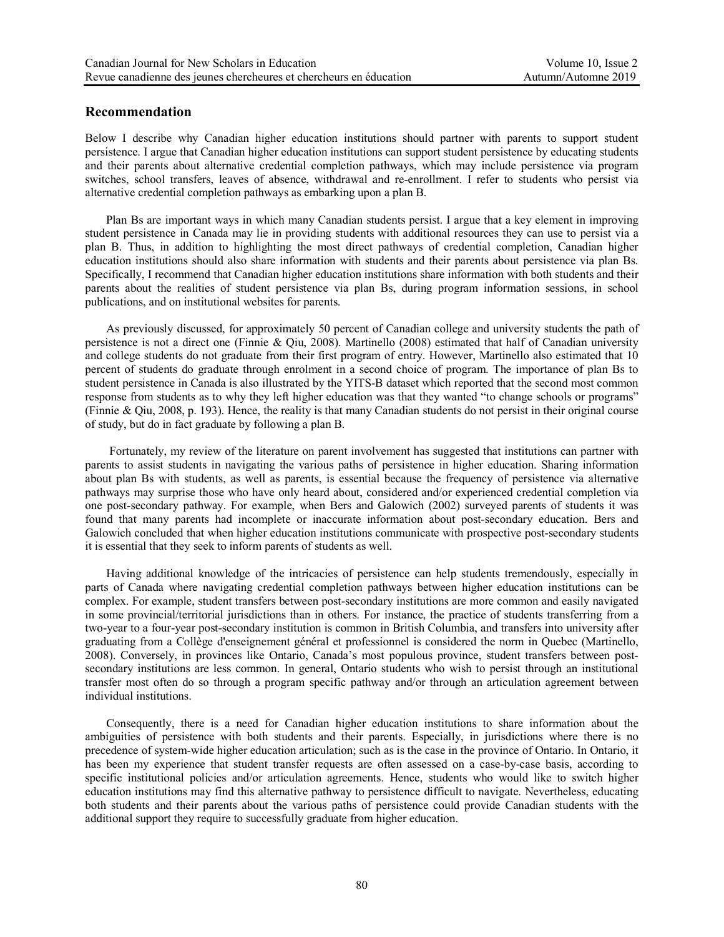## **Recommendation**

Below I describe why Canadian higher education institutions should partner with parents to support student persistence. I argue that Canadian higher education institutions can support student persistence by educating students and their parents about alternative credential completion pathways, which may include persistence via program switches, school transfers, leaves of absence, withdrawal and re-enrollment. I refer to students who persist via alternative credential completion pathways as embarking upon a plan B.

 Plan Bs are important ways in which many Canadian students persist. I argue that a key element in improving student persistence in Canada may lie in providing students with additional resources they can use to persist via a plan B. Thus, in addition to highlighting the most direct pathways of credential completion, Canadian higher education institutions should also share information with students and their parents about persistence via plan Bs. Specifically, I recommend that Canadian higher education institutions share information with both students and their parents about the realities of student persistence via plan Bs, during program information sessions, in school publications, and on institutional websites for parents.

As previously discussed, for approximately 50 percent of Canadian college and university students the path of persistence is not a direct one (Finnie & Qiu, 2008). Martinello (2008) estimated that half of Canadian university and college students do not graduate from their first program of entry. However, Martinello also estimated that 10 percent of students do graduate through enrolment in a second choice of program. The importance of plan Bs to student persistence in Canada is also illustrated by the YITS-B dataset which reported that the second most common response from students as to why they left higher education was that they wanted "to change schools or programs" (Finnie & Qiu, 2008, p. 193). Hence, the reality is that many Canadian students do not persist in their original course of study, but do in fact graduate by following a plan B.

Fortunately, my review of the literature on parent involvement has suggested that institutions can partner with parents to assist students in navigating the various paths of persistence in higher education. Sharing information about plan Bs with students, as well as parents, is essential because the frequency of persistence via alternative pathways may surprise those who have only heard about, considered and/or experienced credential completion via one post-secondary pathway. For example, when Bers and Galowich (2002) surveyed parents of students it was found that many parents had incomplete or inaccurate information about post-secondary education. Bers and Galowich concluded that when higher education institutions communicate with prospective post-secondary students it is essential that they seek to inform parents of students as well.

Having additional knowledge of the intricacies of persistence can help students tremendously, especially in parts of Canada where navigating credential completion pathways between higher education institutions can be complex. For example, student transfers between post-secondary institutions are more common and easily navigated in some provincial/territorial jurisdictions than in others. For instance, the practice of students transferring from a two-year to a four-year post-secondary institution is common in British Columbia, and transfers into university after graduating from a Collège d'enseignement général et professionnel is considered the norm in Quebec (Martinello, 2008). Conversely, in provinces like Ontario, Canada's most populous province, student transfers between postsecondary institutions are less common. In general, Ontario students who wish to persist through an institutional transfer most often do so through a program specific pathway and/or through an articulation agreement between individual institutions.

Consequently, there is a need for Canadian higher education institutions to share information about the ambiguities of persistence with both students and their parents. Especially, in jurisdictions where there is no precedence of system-wide higher education articulation; such as is the case in the province of Ontario. In Ontario, it has been my experience that student transfer requests are often assessed on a case-by-case basis, according to specific institutional policies and/or articulation agreements. Hence, students who would like to switch higher education institutions may find this alternative pathway to persistence difficult to navigate. Nevertheless, educating both students and their parents about the various paths of persistence could provide Canadian students with the additional support they require to successfully graduate from higher education.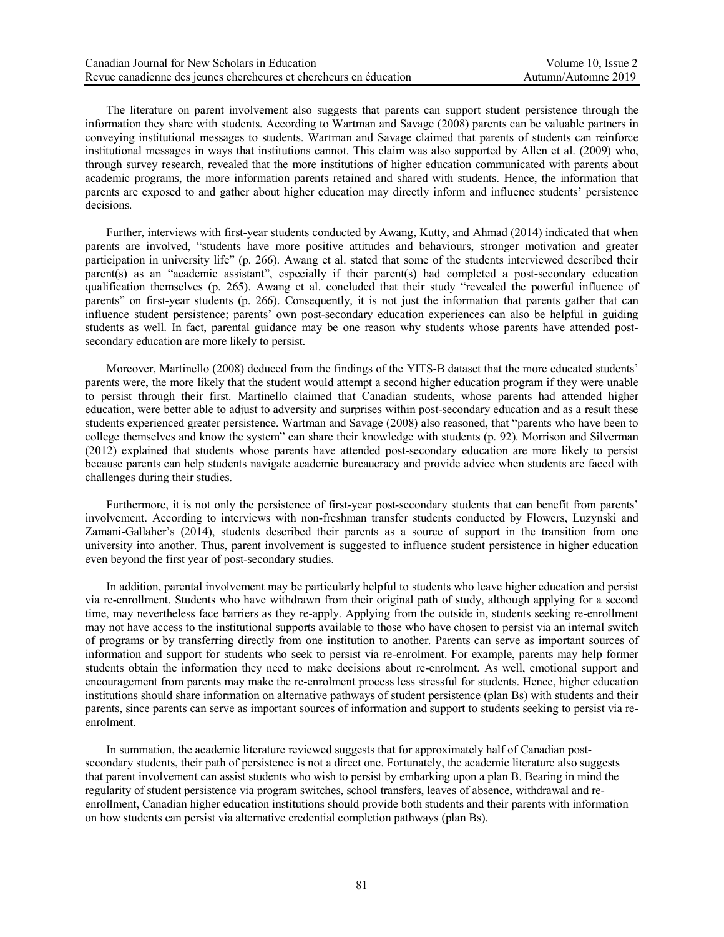The literature on parent involvement also suggests that parents can support student persistence through the information they share with students. According to Wartman and Savage (2008) parents can be valuable partners in conveying institutional messages to students. Wartman and Savage claimed that parents of students can reinforce institutional messages in ways that institutions cannot. This claim was also supported by Allen et al. (2009) who, through survey research, revealed that the more institutions of higher education communicated with parents about academic programs, the more information parents retained and shared with students. Hence, the information that parents are exposed to and gather about higher education may directly inform and influence students' persistence decisions.

Further, interviews with first-year students conducted by Awang, Kutty, and Ahmad (2014) indicated that when parents are involved, "students have more positive attitudes and behaviours, stronger motivation and greater participation in university life" (p. 266). Awang et al. stated that some of the students interviewed described their parent(s) as an "academic assistant", especially if their parent(s) had completed a post-secondary education qualification themselves (p. 265). Awang et al. concluded that their study "revealed the powerful influence of parents" on first-year students (p. 266). Consequently, it is not just the information that parents gather that can influence student persistence; parents' own post-secondary education experiences can also be helpful in guiding students as well. In fact, parental guidance may be one reason why students whose parents have attended postsecondary education are more likely to persist.

Moreover, Martinello (2008) deduced from the findings of the YITS-B dataset that the more educated students' parents were, the more likely that the student would attempt a second higher education program if they were unable to persist through their first. Martinello claimed that Canadian students, whose parents had attended higher education, were better able to adjust to adversity and surprises within post-secondary education and as a result these students experienced greater persistence. Wartman and Savage (2008) also reasoned, that "parents who have been to college themselves and know the system" can share their knowledge with students (p. 92). Morrison and Silverman (2012) explained that students whose parents have attended post-secondary education are more likely to persist because parents can help students navigate academic bureaucracy and provide advice when students are faced with challenges during their studies.

Furthermore, it is not only the persistence of first-year post-secondary students that can benefit from parents' involvement. According to interviews with non-freshman transfer students conducted by Flowers, Luzynski and Zamani-Gallaher's (2014), students described their parents as a source of support in the transition from one university into another. Thus, parent involvement is suggested to influence student persistence in higher education even beyond the first year of post-secondary studies.

In addition, parental involvement may be particularly helpful to students who leave higher education and persist via re-enrollment. Students who have withdrawn from their original path of study, although applying for a second time, may nevertheless face barriers as they re-apply. Applying from the outside in, students seeking re-enrollment may not have access to the institutional supports available to those who have chosen to persist via an internal switch of programs or by transferring directly from one institution to another. Parents can serve as important sources of information and support for students who seek to persist via re-enrolment. For example, parents may help former students obtain the information they need to make decisions about re-enrolment. As well, emotional support and encouragement from parents may make the re-enrolment process less stressful for students. Hence, higher education institutions should share information on alternative pathways of student persistence (plan Bs) with students and their parents, since parents can serve as important sources of information and support to students seeking to persist via reenrolment.

In summation, the academic literature reviewed suggests that for approximately half of Canadian postsecondary students, their path of persistence is not a direct one. Fortunately, the academic literature also suggests that parent involvement can assist students who wish to persist by embarking upon a plan B. Bearing in mind the regularity of student persistence via program switches, school transfers, leaves of absence, withdrawal and reenrollment, Canadian higher education institutions should provide both students and their parents with information on how students can persist via alternative credential completion pathways (plan Bs).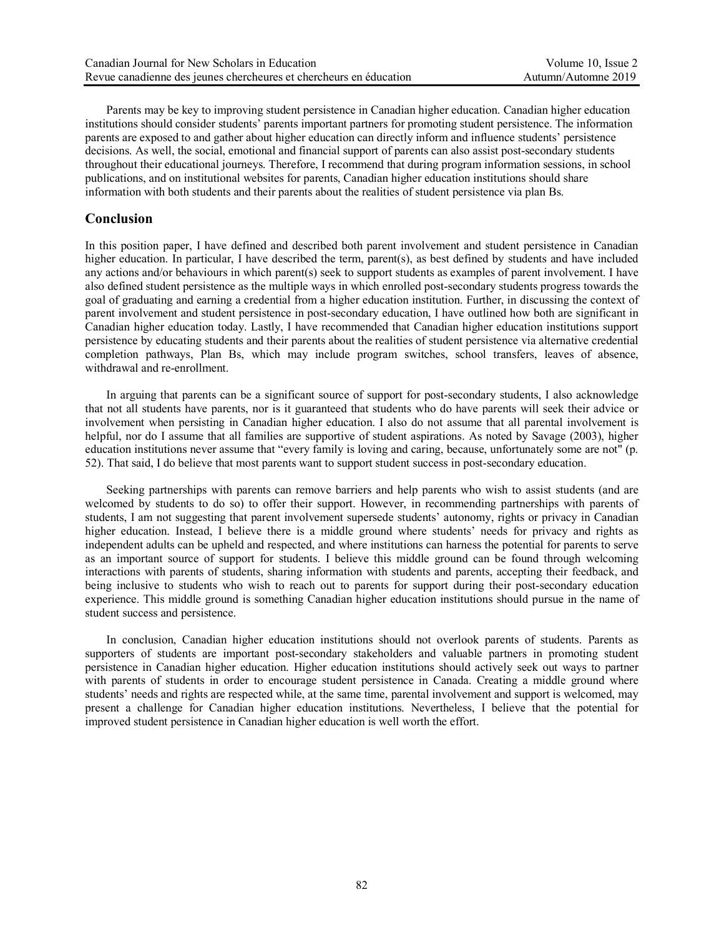Parents may be key to improving student persistence in Canadian higher education. Canadian higher education institutions should consider students' parents important partners for promoting student persistence. The information parents are exposed to and gather about higher education can directly inform and influence students' persistence decisions. As well, the social, emotional and financial support of parents can also assist post-secondary students throughout their educational journeys. Therefore, I recommend that during program information sessions, in school publications, and on institutional websites for parents, Canadian higher education institutions should share information with both students and their parents about the realities of student persistence via plan Bs.

## **Conclusion**

In this position paper, I have defined and described both parent involvement and student persistence in Canadian higher education. In particular, I have described the term, parent(s), as best defined by students and have included any actions and/or behaviours in which parent(s) seek to support students as examples of parent involvement. I have also defined student persistence as the multiple ways in which enrolled post-secondary students progress towards the goal of graduating and earning a credential from a higher education institution. Further, in discussing the context of parent involvement and student persistence in post-secondary education, I have outlined how both are significant in Canadian higher education today. Lastly, I have recommended that Canadian higher education institutions support persistence by educating students and their parents about the realities of student persistence via alternative credential completion pathways, Plan Bs, which may include program switches, school transfers, leaves of absence, withdrawal and re-enrollment.

In arguing that parents can be a significant source of support for post-secondary students, I also acknowledge that not all students have parents, nor is it guaranteed that students who do have parents will seek their advice or involvement when persisting in Canadian higher education. I also do not assume that all parental involvement is helpful, nor do I assume that all families are supportive of student aspirations. As noted by Savage (2003), higher education institutions never assume that "every family is loving and caring, because, unfortunately some are not" (p. 52). That said, I do believe that most parents want to support student success in post-secondary education.

Seeking partnerships with parents can remove barriers and help parents who wish to assist students (and are welcomed by students to do so) to offer their support. However, in recommending partnerships with parents of students, I am not suggesting that parent involvement supersede students' autonomy, rights or privacy in Canadian higher education. Instead, I believe there is a middle ground where students' needs for privacy and rights as independent adults can be upheld and respected, and where institutions can harness the potential for parents to serve as an important source of support for students. I believe this middle ground can be found through welcoming interactions with parents of students, sharing information with students and parents, accepting their feedback, and being inclusive to students who wish to reach out to parents for support during their post-secondary education experience. This middle ground is something Canadian higher education institutions should pursue in the name of student success and persistence.

In conclusion, Canadian higher education institutions should not overlook parents of students. Parents as supporters of students are important post-secondary stakeholders and valuable partners in promoting student persistence in Canadian higher education. Higher education institutions should actively seek out ways to partner with parents of students in order to encourage student persistence in Canada. Creating a middle ground where students' needs and rights are respected while, at the same time, parental involvement and support is welcomed, may present a challenge for Canadian higher education institutions. Nevertheless, I believe that the potential for improved student persistence in Canadian higher education is well worth the effort.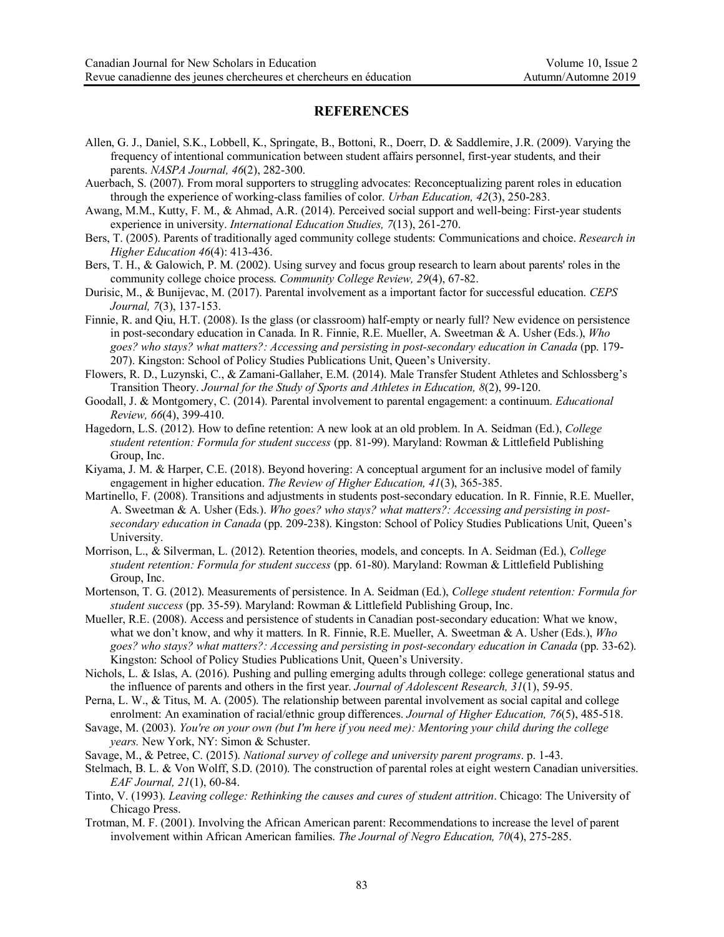# **REFERENCES**

- Allen, G. J., Daniel, S.K., Lobbell, K., Springate, B., Bottoni, R., Doerr, D. & Saddlemire, J.R. (2009). Varying the frequency of intentional communication between student affairs personnel, first-year students, and their parents. *NASPA Journal, 46*(2), 282-300.
- Auerbach, S. (2007). From moral supporters to struggling advocates: Reconceptualizing parent roles in education through the experience of working-class families of color. *Urban Education, 42*(3), 250-283.
- Awang, M.M., Kutty, F. M., & Ahmad, A.R. (2014). Perceived social support and well-being: First-year students experience in university. *International Education Studies, 7*(13), 261-270.
- Bers, T. (2005). Parents of traditionally aged community college students: Communications and choice. *Research in Higher Education 46*(4): 413-436.

Bers, T. H., & Galowich, P. M. (2002). Using survey and focus group research to learn about parents' roles in the community college choice process. *Community College Review, 29*(4), 67-82.

- Durisic, M., & Bunijevac, M. (2017). Parental involvement as a important factor for successful education. *CEPS Journal, 7*(3), 137-153.
- Finnie, R. and Qiu, H.T. (2008). Is the glass (or classroom) half-empty or nearly full? New evidence on persistence in post-secondary education in Canada. In R. Finnie, R.E. Mueller, A. Sweetman & A. Usher (Eds.), *Who goes? who stays? what matters?: Accessing and persisting in post-secondary education in Canada* (pp. 179- 207). Kingston: School of Policy Studies Publications Unit, Queen's University.
- Flowers, R. D., Luzynski, C., & Zamani-Gallaher, E.M. (2014). Male Transfer Student Athletes and Schlossberg's Transition Theory. *Journal for the Study of Sports and Athletes in Education, 8*(2), 99-120.
- Goodall, J. & Montgomery, C. (2014). Parental involvement to parental engagement: a continuum. *Educational Review, 66*(4), 399-410.
- Hagedorn, L.S. (2012). How to define retention: A new look at an old problem. In A. Seidman (Ed.), *College student retention: Formula for student success* (pp. 81-99). Maryland: Rowman & Littlefield Publishing Group, Inc.
- Kiyama, J. M. & Harper, C.E. (2018). Beyond hovering: A conceptual argument for an inclusive model of family engagement in higher education. *The Review of Higher Education, 41*(3), 365-385.
- Martinello, F. (2008). Transitions and adjustments in students post-secondary education. In R. Finnie, R.E. Mueller, A. Sweetman & A. Usher (Eds.). *Who goes? who stays? what matters?: Accessing and persisting in postsecondary education in Canada* (pp. 209-238). Kingston: School of Policy Studies Publications Unit, Queen's University.
- Morrison, L., & Silverman, L. (2012). Retention theories, models, and concepts. In A. Seidman (Ed.), *College student retention: Formula for student success* (pp. 61-80). Maryland: Rowman & Littlefield Publishing Group, Inc.
- Mortenson, T. G. (2012). Measurements of persistence. In A. Seidman (Ed.), *College student retention: Formula for student success* (pp. 35-59). Maryland: Rowman & Littlefield Publishing Group, Inc.
- Mueller, R.E. (2008). Access and persistence of students in Canadian post-secondary education: What we know, what we don't know, and why it matters. In R. Finnie, R.E. Mueller, A. Sweetman & A. Usher (Eds.), *Who goes? who stays? what matters?: Accessing and persisting in post-secondary education in Canada* (pp. 33-62). Kingston: School of Policy Studies Publications Unit, Queen's University.
- Nichols, L. & Islas, A. (2016). Pushing and pulling emerging adults through college: college generational status and the influence of parents and others in the first year. *Journal of Adolescent Research, 31*(1), 59-95.
- Perna, L. W., & Titus, M. A. (2005). The relationship between parental involvement as social capital and college enrolment: An examination of racial/ethnic group differences. *Journal of Higher Education, 76*(5), 485-518.
- Savage, M. (2003). *You're on your own (but I'm here if you need me): Mentoring your child during the college years.* New York, NY: Simon & Schuster.
- Savage, M., & Petree, C. (2015). *National survey of college and university parent programs*. p. 1-43.
- Stelmach, B. L. & Von Wolff, S.D. (2010). The construction of parental roles at eight western Canadian universities. *EAF Journal, 21*(1), 60-84.
- Tinto, V. (1993). *Leaving college: Rethinking the causes and cures of student attrition*. Chicago: The University of Chicago Press.
- Trotman, M. F. (2001). Involving the African American parent: Recommendations to increase the level of parent involvement within African American families. *The Journal of Negro Education, 70*(4), 275-285.